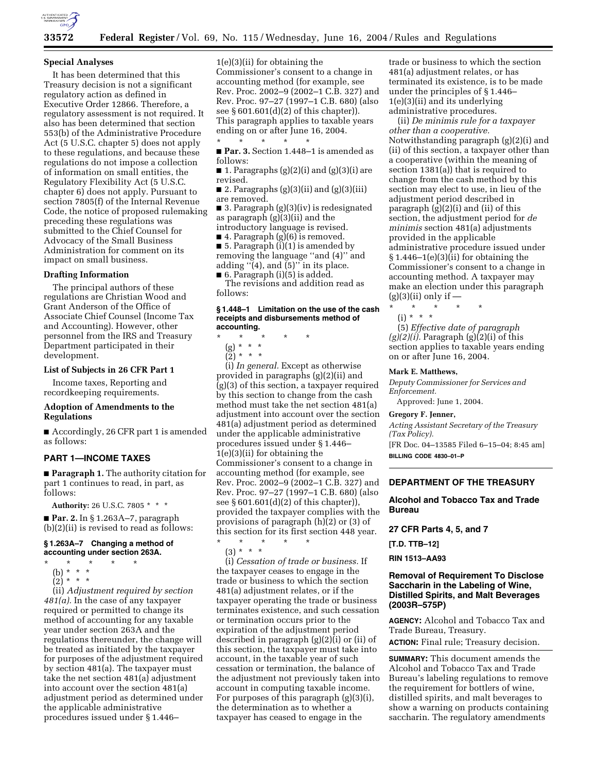

## **Special Analyses**

It has been determined that this Treasury decision is not a significant regulatory action as defined in Executive Order 12866. Therefore, a regulatory assessment is not required. It also has been determined that section 553(b) of the Administrative Procedure Act (5 U.S.C. chapter 5) does not apply to these regulations, and because these regulations do not impose a collection of information on small entities, the Regulatory Flexibility Act (5 U.S.C. chapter 6) does not apply. Pursuant to section 7805(f) of the Internal Revenue Code, the notice of proposed rulemaking preceding these regulations was submitted to the Chief Counsel for Advocacy of the Small Business Administration for comment on its impact on small business.

## **Drafting Information**

The principal authors of these regulations are Christian Wood and Grant Anderson of the Office of Associate Chief Counsel (Income Tax and Accounting). However, other personnel from the IRS and Treasury Department participated in their development.

## **List of Subjects in 26 CFR Part 1**

Income taxes, Reporting and recordkeeping requirements.

## **Adoption of Amendments to the Regulations**

■ Accordingly, 26 CFR part 1 is amended as follows:

## **PART 1—INCOME TAXES**

■ **Paragraph 1.** The authority citation for part 1 continues to read, in part, as follows:

**Authority:** 26 U.S.C. 7805 \* \* \*

■ **Par. 2.** In § 1.263A–7, paragraph (b)(2)(ii) is revised to read as follows:

## **§ 1.263A–7 Changing a method of accounting under section 263A.**

- \* \* \* \* \*
- (b) \* \* \*
- $(2)^*$  \* \*

(ii) *Adjustment required by section 481(a).* In the case of any taxpayer required or permitted to change its method of accounting for any taxable year under section 263A and the regulations thereunder, the change will be treated as initiated by the taxpayer for purposes of the adjustment required by section 481(a). The taxpayer must take the net section 481(a) adjustment into account over the section 481(a) adjustment period as determined under the applicable administrative procedures issued under § 1.446–

1(e)(3)(ii) for obtaining the Commissioner's consent to a change in accounting method (for example, see Rev. Proc. 2002–9 (2002–1 C.B. 327) and Rev. Proc. 97–27 (1997–1 C.B. 680) (also see § 601.601(d)(2) of this chapter)). This paragraph applies to taxable years ending on or after June 16, 2004.

\* \* \* \* \* ■ **Par. 3.** Section 1.448–1 is amended as follows:

■ 1. Paragraphs (g)(2)(i) and (g)(3)(i) are revised.

■ 2. Paragraphs  $(g)(3)(ii)$  and  $(g)(3)(iii)$ are removed.

■ 3. Paragraph (g)(3)(iv) is redesignated as paragraph (g)(3)(ii) and the introductory language is revised.

■ 4. Paragraph (g)(6) is removed.

■ 5. Paragraph (i)(1) is amended by removing the language ''and (4)'' and adding  $\cdot$  (4), and (5)'' in its place. ■ 6. Paragraph (i)(5) is added.

The revisions and addition read as follows:

### **§ 1.448–1 Limitation on the use of the cash receipts and disbursements method of accounting.**

- \* \* \* \* \*
	- (g) \* \* \*

 $(2) * * * *$ 

(i) *In general.* Except as otherwise provided in paragraphs (g)(2)(ii) and (g)(3) of this section, a taxpayer required by this section to change from the cash method must take the net section 481(a) adjustment into account over the section 481(a) adjustment period as determined under the applicable administrative procedures issued under § 1.446– 1(e)(3)(ii) for obtaining the Commissioner's consent to a change in accounting method (for example, see Rev. Proc. 2002–9 (2002–1 C.B. 327) and Rev. Proc. 97–27 (1997–1 C.B. 680) (also see § 601.601(d)(2) of this chapter)), provided the taxpayer complies with the provisions of paragraph (h)(2) or (3) of this section for its first section 448 year.

\* \* \* \* \* (3) \* \* \* (i) *Cessation of trade or business.* If the taxpayer ceases to engage in the trade or business to which the section 481(a) adjustment relates, or if the taxpayer operating the trade or business terminates existence, and such cessation or termination occurs prior to the expiration of the adjustment period described in paragraph (g)(2)(i) or (ii) of this section, the taxpayer must take into account, in the taxable year of such cessation or termination, the balance of the adjustment not previously taken into account in computing taxable income. For purposes of this paragraph (g)(3)(i), the determination as to whether a taxpayer has ceased to engage in the

trade or business to which the section 481(a) adjustment relates, or has terminated its existence, is to be made under the principles of § 1.446– 1(e)(3)(ii) and its underlying administrative procedures.

(ii) *De minimis rule for a taxpayer other than a cooperative.* Notwithstanding paragraph (g)(2)(i) and (ii) of this section, a taxpayer other than a cooperative (within the meaning of section 1381(a)) that is required to change from the cash method by this section may elect to use, in lieu of the adjustment period described in paragraph (g)(2)(i) and (ii) of this section, the adjustment period for *de minimis* section 481(a) adjustments provided in the applicable administrative procedure issued under  $§ 1.446-1(e)(3)(ii)$  for obtaining the Commissioner's consent to a change in accounting method. A taxpayer may make an election under this paragraph  $(g)(3)(ii)$  only if —

(i) \* \* \* (5) *Effective date of paragraph (g)(2)(i).* Paragraph (g)(2)(i) of this section applies to taxable years ending on or after June 16, 2004.

#### **Mark E. Matthews,**

*Deputy Commissioner for Services and Enforcement.* 

Approved: June 1, 2004.

\* \* \* \* \*

#### **Gregory F. Jenner,**

*Acting Assistant Secretary of the Treasury (Tax Policy).*

[FR Doc. 04–13585 Filed 6–15–04; 8:45 am] **BILLING CODE 4830–01–P**

# **DEPARTMENT OF THE TREASURY**

## **Alcohol and Tobacco Tax and Trade Bureau**

**27 CFR Parts 4, 5, and 7** 

**[T.D. TTB–12]** 

## **RIN 1513–AA93**

## **Removal of Requirement To Disclose Saccharin in the Labeling of Wine, Distilled Spirits, and Malt Beverages (2003R–575P)**

**AGENCY:** Alcohol and Tobacco Tax and Trade Bureau, Treasury.

**ACTION:** Final rule; Treasury decision.

**SUMMARY:** This document amends the Alcohol and Tobacco Tax and Trade Bureau's labeling regulations to remove the requirement for bottlers of wine, distilled spirits, and malt beverages to show a warning on products containing saccharin. The regulatory amendments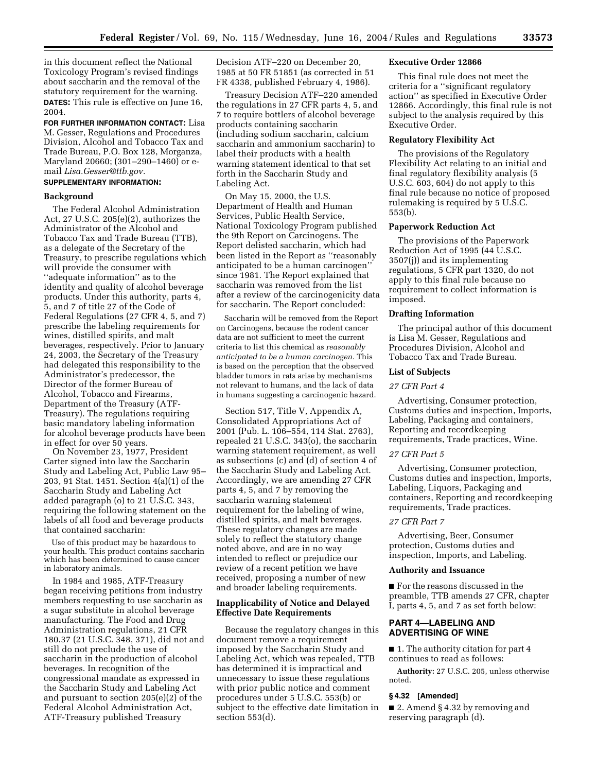in this document reflect the National Toxicology Program's revised findings about saccharin and the removal of the statutory requirement for the warning. **DATES:** This rule is effective on June 16, 2004.

**FOR FURTHER INFORMATION CONTACT:** Lisa M. Gesser, Regulations and Procedures Division, Alcohol and Tobacco Tax and Trade Bureau, P.O. Box 128, Morganza, Maryland 20660; (301–290–1460) or email *Lisa.Gesser@ttb.gov.*

# **SUPPLEMENTARY INFORMATION:**

#### **Background**

The Federal Alcohol Administration Act, 27 U.S.C. 205(e)(2), authorizes the Administrator of the Alcohol and Tobacco Tax and Trade Bureau (TTB), as a delegate of the Secretary of the Treasury, to prescribe regulations which will provide the consumer with ''adequate information'' as to the identity and quality of alcohol beverage products. Under this authority, parts 4, 5, and 7 of title 27 of the Code of Federal Regulations (27 CFR 4, 5, and 7) prescribe the labeling requirements for wines, distilled spirits, and malt beverages, respectively. Prior to January 24, 2003, the Secretary of the Treasury had delegated this responsibility to the Administrator's predecessor, the Director of the former Bureau of Alcohol, Tobacco and Firearms, Department of the Treasury (ATF-Treasury). The regulations requiring basic mandatory labeling information for alcohol beverage products have been in effect for over 50 years.

On November 23, 1977, President Carter signed into law the Saccharin Study and Labeling Act, Public Law 95– 203, 91 Stat. 1451. Section 4(a)(1) of the Saccharin Study and Labeling Act added paragraph (o) to 21 U.S.C. 343, requiring the following statement on the labels of all food and beverage products that contained saccharin:

Use of this product may be hazardous to your health. This product contains saccharin which has been determined to cause cancer in laboratory animals.

In 1984 and 1985, ATF-Treasury began receiving petitions from industry members requesting to use saccharin as a sugar substitute in alcohol beverage manufacturing. The Food and Drug Administration regulations, 21 CFR 180.37 (21 U.S.C. 348, 371), did not and still do not preclude the use of saccharin in the production of alcohol beverages. In recognition of the congressional mandate as expressed in the Saccharin Study and Labeling Act and pursuant to section 205(e)(2) of the Federal Alcohol Administration Act, ATF-Treasury published Treasury

Decision ATF–220 on December 20, 1985 at 50 FR 51851 (as corrected in 51 FR 4338, published February 4, 1986).

Treasury Decision ATF–220 amended the regulations in 27 CFR parts 4, 5, and 7 to require bottlers of alcohol beverage products containing saccharin (including sodium saccharin, calcium saccharin and ammonium saccharin) to label their products with a health warning statement identical to that set forth in the Saccharin Study and Labeling Act.

On May 15, 2000, the U.S. Department of Health and Human Services, Public Health Service, National Toxicology Program published the 9th Report on Carcinogens. The Report delisted saccharin, which had been listed in the Report as ''reasonably anticipated to be a human carcinogen'' since 1981. The Report explained that saccharin was removed from the list after a review of the carcinogenicity data for saccharin. The Report concluded:

Saccharin will be removed from the Report on Carcinogens, because the rodent cancer data are not sufficient to meet the current criteria to list this chemical as *reasonably anticipated to be a human carcinogen.* This is based on the perception that the observed bladder tumors in rats arise by mechanisms not relevant to humans, and the lack of data in humans suggesting a carcinogenic hazard.

Section 517, Title V, Appendix A, Consolidated Appropriations Act of 2001 (Pub. L. 106–554, 114 Stat. 2763), repealed 21 U.S.C. 343(o), the saccharin warning statement requirement, as well as subsections (c) and (d) of section 4 of the Saccharin Study and Labeling Act. Accordingly, we are amending 27 CFR parts 4, 5, and 7 by removing the saccharin warning statement requirement for the labeling of wine, distilled spirits, and malt beverages. These regulatory changes are made solely to reflect the statutory change noted above, and are in no way intended to reflect or prejudice our review of a recent petition we have received, proposing a number of new and broader labeling requirements.

## **Inapplicability of Notice and Delayed Effective Date Requirements**

Because the regulatory changes in this document remove a requirement imposed by the Saccharin Study and Labeling Act, which was repealed, TTB has determined it is impractical and unnecessary to issue these regulations with prior public notice and comment procedures under 5 U.S.C. 553(b) or subject to the effective date limitation in section 553(d).

## **Executive Order 12866**

This final rule does not meet the criteria for a ''significant regulatory action'' as specified in Executive Order 12866. Accordingly, this final rule is not subject to the analysis required by this Executive Order.

## **Regulatory Flexibility Act**

The provisions of the Regulatory Flexibility Act relating to an initial and final regulatory flexibility analysis (5 U.S.C. 603, 604) do not apply to this final rule because no notice of proposed rulemaking is required by 5 U.S.C. 553(b).

### **Paperwork Reduction Act**

The provisions of the Paperwork Reduction Act of 1995 (44 U.S.C. 3507(j)) and its implementing regulations, 5 CFR part 1320, do not apply to this final rule because no requirement to collect information is imposed.

## **Drafting Information**

The principal author of this document is Lisa M. Gesser, Regulations and Procedures Division, Alcohol and Tobacco Tax and Trade Bureau.

#### **List of Subjects**

## *27 CFR Part 4*

Advertising, Consumer protection, Customs duties and inspection, Imports, Labeling, Packaging and containers, Reporting and recordkeeping requirements, Trade practices, Wine.

### *27 CFR Part 5*

Advertising, Consumer protection, Customs duties and inspection, Imports, Labeling, Liquors, Packaging and containers, Reporting and recordkeeping requirements, Trade practices.

### *27 CFR Part 7*

Advertising, Beer, Consumer protection, Customs duties and inspection, Imports, and Labeling.

#### **Authority and Issuance**

■ For the reasons discussed in the preamble, TTB amends 27 CFR, chapter I, parts 4, 5, and 7 as set forth below:

## **PART 4—LABELING AND ADVERTISING OF WINE**

■ 1. The authority citation for part 4 continues to read as follows:

**Authority:** 27 U.S.C. 205, unless otherwise noted.

## **§ 4.32 [Amended]**

■ 2. Amend § 4.32 by removing and reserving paragraph (d).